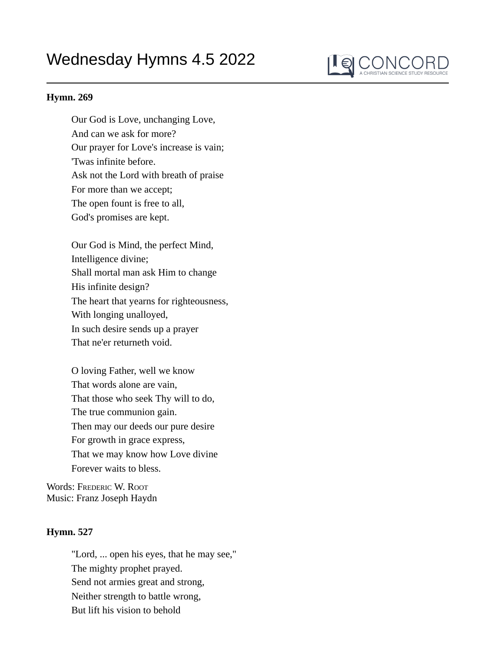## Wednesday Hymns 4.5 2022



## **Hymn. 269**

Our God is Love, unchanging Love, And can we ask for more? Our prayer for Love's increase is vain; 'Twas infinite before. Ask not the Lord with breath of praise For more than we accept; The open fount is free to all, God's promises are kept.

Our God is Mind, the perfect Mind, Intelligence divine; Shall mortal man ask Him to change His infinite design? The heart that yearns for righteousness, With longing unalloyed, In such desire sends up a prayer That ne'er returneth void.

O loving Father, well we know That words alone are vain, That those who seek Thy will to do, The true communion gain. Then may our deeds our pure desire For growth in grace express, That we may know how Love divine Forever waits to bless.

Words: FREDERIC W. ROOT Music: Franz Joseph Haydn

## **Hymn. 527**

"Lord, ... open his eyes, that he may see," The mighty prophet prayed. Send not armies great and strong, Neither strength to battle wrong, But lift his vision to behold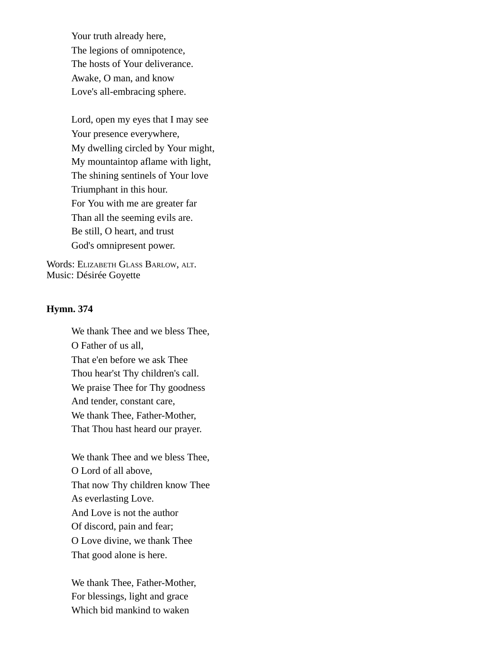Your truth already here, The legions of omnipotence, The hosts of Your deliverance. Awake, O man, and know Love's all-embracing sphere.

Lord, open my eyes that I may see Your presence everywhere, My dwelling circled by Your might, My mountaintop aflame with light, The shining sentinels of Your love Triumphant in this hour. For You with me are greater far Than all the seeming evils are. Be still, O heart, and trust God's omnipresent power.

Words: ELIZABETH GLASS BARLOW, ALT. Music: Désirée Goyette

## **Hymn. 374**

We thank Thee and we bless Thee, O Father of us all, That e'en before we ask Thee Thou hear'st Thy children's call. We praise Thee for Thy goodness And tender, constant care, We thank Thee, Father-Mother, That Thou hast heard our prayer.

We thank Thee and we bless Thee, O Lord of all above, That now Thy children know Thee As everlasting Love. And Love is not the author Of discord, pain and fear; O Love divine, we thank Thee That good alone is here.

We thank Thee, Father-Mother, For blessings, light and grace Which bid mankind to waken